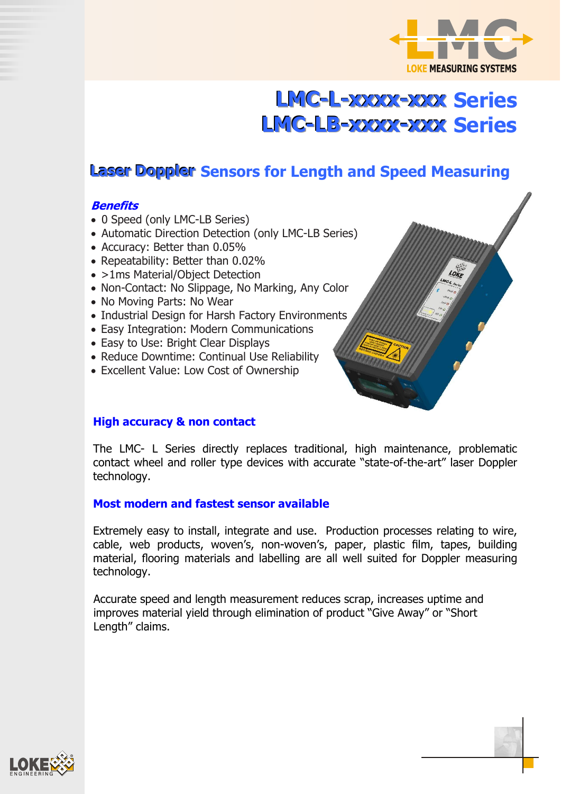

# **LMC-L-xxxx-xxx Series LMC-LB-xxxx-xxx Series**

# **Laser Doppler Sensors for Length and Speed Measuring**

#### **Benefits**

- 0 Speed (only LMC-LB Series)
- Automatic Direction Detection (only LMC-LB Series)
- Accuracy: Better than 0.05%
- Repeatability: Better than 0.02%
- >1ms Material/Object Detection
- Non-Contact: No Slippage, No Marking, Any Color
- No Moving Parts: No Wear
- Industrial Design for Harsh Factory Environments
- Easy Integration: Modern Communications
- Easy to Use: Bright Clear Displays
- Reduce Downtime: Continual Use Reliability
- Excellent Value: Low Cost of Ownership



The LMC- L Series directly replaces traditional, high maintenance, problematic contact wheel and roller type devices with accurate "state-of-the-art" laser Doppler technology.

#### **Most modern and fastest sensor available**

Extremely easy to install, integrate and use. Production processes relating to wire, cable, web products, woven's, non-woven's, paper, plastic film, tapes, building material, flooring materials and labelling are all well suited for Doppler measuring technology.

Accurate speed and length measurement reduces scrap, increases uptime and improves material yield through elimination of product "Give Away" or "Short Length" claims.

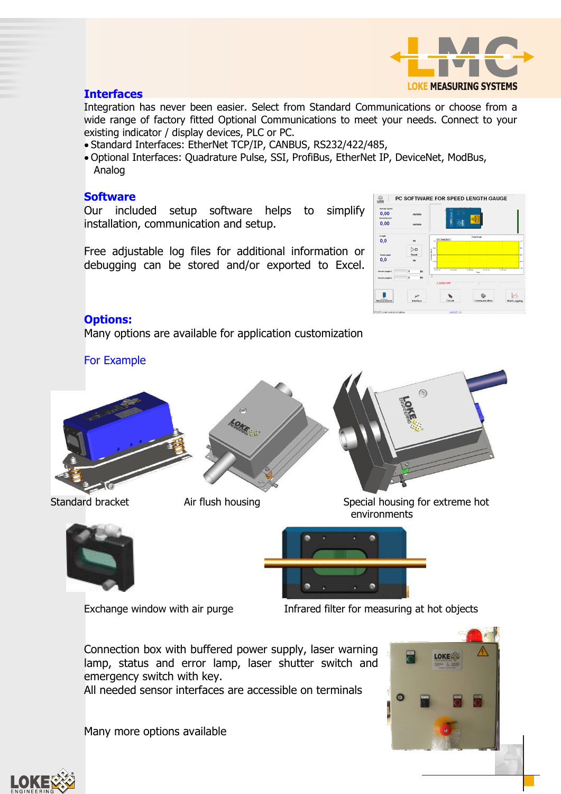

#### **Interfaces**

Integration has never been easier. Select from Standard Communications or choose from a wide range of factory fitted Optional Communications to meet your needs. Connect to your existing indicator / display devices, PLC or PC.

- Standard Interfaces: EtherNet TCP/IP, CANBUS, RS232/422/485,
- Optional Interfaces: Quadrature Pulse, SSI, ProfiBus, EtherNet IP, DeviceNet, ModBus, Analog

#### **Software**

Our included setup software helps to simplify installation, communication and setup.

Free adjustable log files for additional information or debugging can be stored and/or exported to Excel.



#### **Options:**

Many options are available for application customization

For Example





Standard bracket Air flush housing Special housing for extreme hot environments

 $\circledS$ 





Exchange window with air purge Infrared filter for measuring at hot objects

Connection box with buffered power supply, laser warning lamp, status and error lamp, laser shutter switch and emergency switch with key.

All needed sensor interfaces are accessible on terminals

Many more options available



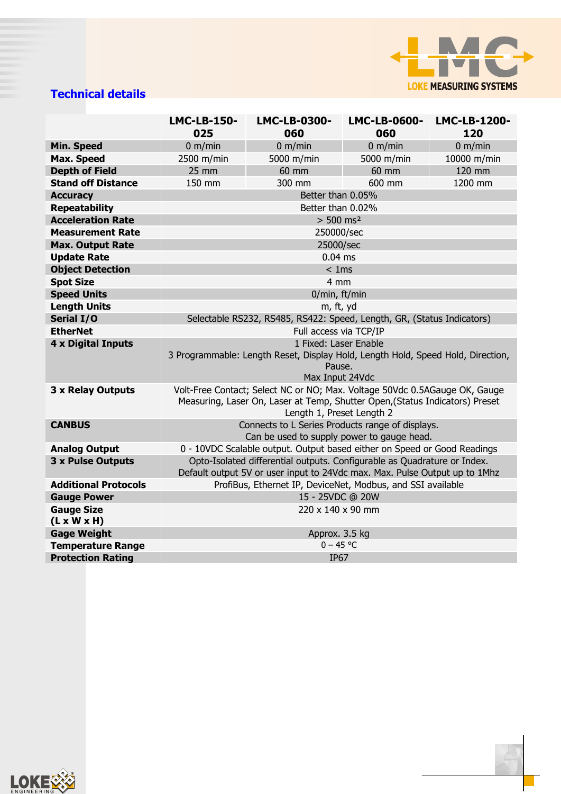

## **Technical details**

|                                              | <b>LMC-LB-150-</b><br>025                                                                                                                                                               | LMC-LB-0300-<br>060 | <b>LMC-LB-0600-</b><br>060 | LMC-LB-1200-<br>120 |  |  |
|----------------------------------------------|-----------------------------------------------------------------------------------------------------------------------------------------------------------------------------------------|---------------------|----------------------------|---------------------|--|--|
| <b>Min. Speed</b>                            | 0 m/min                                                                                                                                                                                 | 0 m/min             | 0 m/min                    | 0 m/min             |  |  |
| <b>Max. Speed</b>                            | 2500 m/min                                                                                                                                                                              | 5000 m/min          | 5000 m/min                 | 10000 m/min         |  |  |
| <b>Depth of Field</b>                        | $25$ mm                                                                                                                                                                                 | 60 mm               | 60 mm                      | 120 mm              |  |  |
| <b>Stand off Distance</b>                    | 150 mm                                                                                                                                                                                  | 300 mm              | 600 mm                     | 1200 mm             |  |  |
| <b>Accuracy</b>                              |                                                                                                                                                                                         | Better than 0.05%   |                            |                     |  |  |
| <b>Repeatability</b>                         | Better than 0.02%                                                                                                                                                                       |                     |                            |                     |  |  |
| <b>Acceleration Rate</b>                     | $> 500$ ms <sup>2</sup>                                                                                                                                                                 |                     |                            |                     |  |  |
| <b>Measurement Rate</b>                      | 250000/sec                                                                                                                                                                              |                     |                            |                     |  |  |
| <b>Max. Output Rate</b>                      | 25000/sec                                                                                                                                                                               |                     |                            |                     |  |  |
| <b>Update Rate</b>                           | $0.04$ ms                                                                                                                                                                               |                     |                            |                     |  |  |
| <b>Object Detection</b>                      | < 1ms                                                                                                                                                                                   |                     |                            |                     |  |  |
| <b>Spot Size</b>                             | 4 mm                                                                                                                                                                                    |                     |                            |                     |  |  |
| <b>Speed Units</b>                           | 0/min, ft/min                                                                                                                                                                           |                     |                            |                     |  |  |
| <b>Length Units</b>                          | m, ft, yd                                                                                                                                                                               |                     |                            |                     |  |  |
| Serial I/O                                   | Selectable RS232, RS485, RS422: Speed, Length, GR, (Status Indicators)                                                                                                                  |                     |                            |                     |  |  |
| <b>EtherNet</b>                              | Full access via TCP/IP                                                                                                                                                                  |                     |                            |                     |  |  |
| 4 x Digital Inputs                           | 1 Fixed: Laser Enable<br>3 Programmable: Length Reset, Display Hold, Length Hold, Speed Hold, Direction,<br>Pause.<br>Max Input 24Vdc                                                   |                     |                            |                     |  |  |
| 3 x Relay Outputs                            | Volt-Free Contact; Select NC or NO; Max. Voltage 50Vdc 0.5AGauge OK, Gauge<br>Measuring, Laser On, Laser at Temp, Shutter Open, (Status Indicators) Preset<br>Length 1, Preset Length 2 |                     |                            |                     |  |  |
| <b>CANBUS</b>                                | Connects to L Series Products range of displays.<br>Can be used to supply power to gauge head.                                                                                          |                     |                            |                     |  |  |
| <b>Analog Output</b>                         | 0 - 10VDC Scalable output. Output based either on Speed or Good Readings                                                                                                                |                     |                            |                     |  |  |
| 3 x Pulse Outputs                            | Opto-Isolated differential outputs. Configurable as Quadrature or Index.<br>Default output 5V or user input to 24Vdc max. Max. Pulse Output up to 1Mhz                                  |                     |                            |                     |  |  |
| <b>Additional Protocols</b>                  | ProfiBus, Ethernet IP, DeviceNet, Modbus, and SSI available                                                                                                                             |                     |                            |                     |  |  |
| <b>Gauge Power</b>                           | 15 - 25VDC @ 20W                                                                                                                                                                        |                     |                            |                     |  |  |
| <b>Gauge Size</b><br>$(L \times W \times H)$ | 220 x 140 x 90 mm                                                                                                                                                                       |                     |                            |                     |  |  |
| <b>Gage Weight</b>                           | Approx. 3.5 kg                                                                                                                                                                          |                     |                            |                     |  |  |
| <b>Temperature Range</b>                     | $0 - 45 °C$                                                                                                                                                                             |                     |                            |                     |  |  |
| <b>Protection Rating</b>                     | <b>IP67</b>                                                                                                                                                                             |                     |                            |                     |  |  |